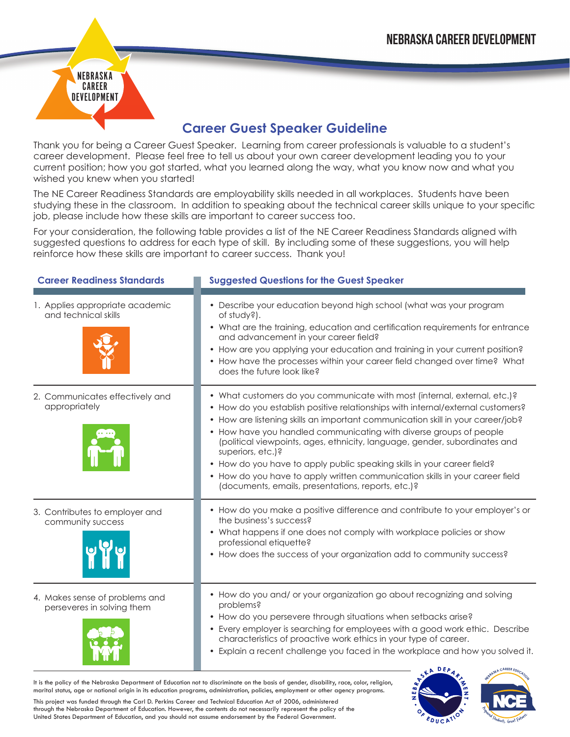

## **Career Guest Speaker Guideline**

Thank you for being a Career Guest Speaker. Learning from career professionals is valuable to a student's career development. Please feel free to tell us about your own career development leading you to your current position; how you got started, what you learned along the way, what you know now and what you wished you knew when you started!

The NE Career Readiness Standards are employability skills needed in all workplaces. Students have been studying these in the classroom. In addition to speaking about the technical career skills unique to your specific job, please include how these skills are important to career success too.

For your consideration, the following table provides a list of the NE Career Readiness Standards aligned with suggested questions to address for each type of skill. By including some of these suggestions, you will help reinforce how these skills are important to career success. Thank you!

| <b>Career Readiness Standards</b>                            | <b>Suggested Questions for the Guest Speaker</b>                                                                                                                                                                                                                                                                                                                                                                                                                                                                                                                                                                                             |
|--------------------------------------------------------------|----------------------------------------------------------------------------------------------------------------------------------------------------------------------------------------------------------------------------------------------------------------------------------------------------------------------------------------------------------------------------------------------------------------------------------------------------------------------------------------------------------------------------------------------------------------------------------------------------------------------------------------------|
| 1. Applies appropriate academic<br>and technical skills      | • Describe your education beyond high school (what was your program<br>of study?).<br>• What are the training, education and certification requirements for entrance<br>and advancement in your career field?<br>• How are you applying your education and training in your current position?<br>• How have the processes within your career field changed over time? What<br>does the future look like?                                                                                                                                                                                                                                     |
| 2. Communicates effectively and<br>appropriately             | • What customers do you communicate with most (internal, external, etc.)?<br>• How do you establish positive relationships with internal/external customers?<br>• How are listening skills an important communication skill in your career/job?<br>• How have you handled communicating with diverse groups of people<br>(political viewpoints, ages, ethnicity, language, gender, subordinates and<br>superiors, $etc.$ )?<br>• How do you have to apply public speaking skills in your career field?<br>• How do you have to apply written communication skills in your career field<br>(documents, emails, presentations, reports, etc.)? |
| 3. Contributes to employer and<br>community success          | • How do you make a positive difference and contribute to your employer's or<br>the business's success?<br>• What happens if one does not comply with workplace policies or show<br>professional etiquette?<br>• How does the success of your organization add to community success?                                                                                                                                                                                                                                                                                                                                                         |
| 4. Makes sense of problems and<br>perseveres in solving them | • How do you and/ or your organization go about recognizing and solving<br>problems?<br>• How do you persevere through situations when setbacks arise?<br>• Every employer is searching for employees with a good work ethic. Describe<br>characteristics of proactive work ethics in your type of career.<br>• Explain a recent challenge you faced in the workplace and how you solved it.                                                                                                                                                                                                                                                 |

It is the policy of the Nebraska Department of Education not to discriminate on the basis of gender, disability, race, color, religion, marital status, age or national origin in its education programs, administration, policies, employment or other agency programs.

This project was funded through the Carl D. Perkins Career and Technical Education Act of 2006, administered through the Nebraska Department of Education. However, the contents do not necessarily represent the policy of the United States Department of Education, and you should not assume endorsement by the Federal Government.